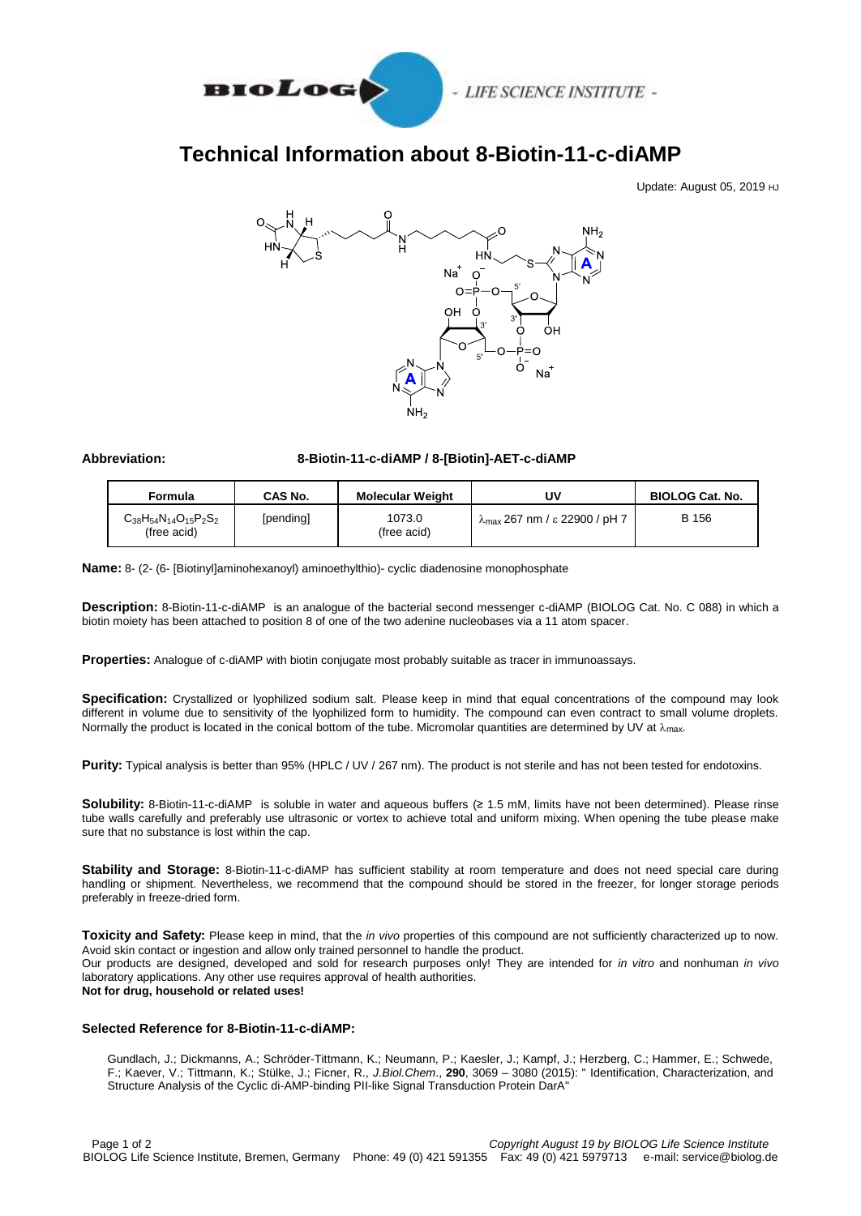

# **Technical Information about 8-Biotin-11-c-diAMP**

Update: August 05, 2019 HJ



## **Abbreviation: 8-Biotin-11-c-diAMP / 8-[Biotin]-AET-c-diAMP**

| Formula                                         | <b>CAS No.</b> | <b>Molecular Weight</b> | J۷                                               | <b>BIOLOG Cat. No.</b> |
|-------------------------------------------------|----------------|-------------------------|--------------------------------------------------|------------------------|
| $C_{38}H_{54}N_{14}O_{15}P_2S_2$<br>(free acid) | [pending]      | 1073.0<br>(free acid)   | $\lambda$ <sub>max</sub> 267 nm / ε 22900 / pH 7 | B 156                  |

**Name:** 8- (2- (6- [Biotinyl]aminohexanoyl) aminoethylthio)- cyclic diadenosine monophosphate

**Description:** 8-Biotin-11-c-diAMP is an analogue of the bacterial second messenger c-diAMP (BIOLOG Cat. No. C 088) in which a biotin moiety has been attached to position 8 of one of the two adenine nucleobases via a 11 atom spacer.

**Properties:** Analogue of c-diAMP with biotin conjugate most probably suitable as tracer in immunoassays.

**Specification:** Crystallized or lyophilized sodium salt. Please keep in mind that equal concentrations of the compound may look different in volume due to sensitivity of the lyophilized form to humidity. The compound can even contract to small volume droplets. Normally the product is located in the conical bottom of the tube. Micromolar quantities are determined by UV at  $\lambda_{\text{max}}$ .

Purity: Typical analysis is better than 95% (HPLC / UV / 267 nm). The product is not sterile and has not been tested for endotoxins.

**Solubility:** 8-Biotin-11-c-diAMP is soluble in water and aqueous buffers (≥ 1.5 mM, limits have not been determined). Please rinse tube walls carefully and preferably use ultrasonic or vortex to achieve total and uniform mixing. When opening the tube please make sure that no substance is lost within the cap.

**Stability and Storage:** 8-Biotin-11-c-diAMP has sufficient stability at room temperature and does not need special care during handling or shipment. Nevertheless, we recommend that the compound should be stored in the freezer, for longer storage periods preferably in freeze-dried form.

**Toxicity and Safety:** Please keep in mind, that the *in vivo* properties of this compound are not sufficiently characterized up to now. Avoid skin contact or ingestion and allow only trained personnel to handle the product. Our products are designed, developed and sold for research purposes only! They are intended for *in vitro* and nonhuman *in vivo* laboratory applications. Any other use requires approval of health authorities. **Not for drug, household or related uses!**

#### **Selected Reference for 8-Biotin-11-c-diAMP:**

Gundlach, J.; Dickmanns, A.; Schröder-Tittmann, K.; Neumann, P.; Kaesler, J.; Kampf, J.; Herzberg, C.; Hammer, E.; Schwede, F.; Kaever, V.; Tittmann, K.; Stülke, J.; Ficner, R., *J.Biol.Chem*., **290**, 3069 – 3080 (2015): " Identification, Characterization, and Structure Analysis of the Cyclic di-AMP-binding PII-like Signal Transduction Protein DarA"